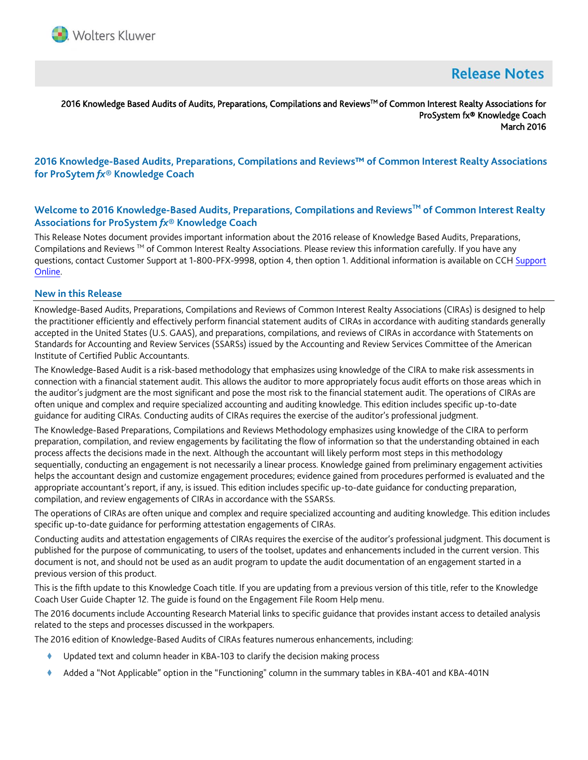

# **Release Notes**

2016 Knowledge Based Audits of Audits, Preparations, Compilations and Reviews™ of Common Interest Realty Associations for ProSystem fx® Knowledge Coach March 2016

# **2016 Knowledge-Based Audits, Preparations, Compilations and Reviews™ of Common Interest Realty Associations for ProSytem** *fx***® Knowledge Coach**

## **Welcome to 2016 Knowledge-Based Audits, Preparations, Compilations and ReviewsTM of Common Interest Realty Associations for ProSystem** *fx***® Knowledge Coach**

This Release Notes document provides important information about the 2016 release of Knowledge Based Audits, Preparations, Compilations and Reviews ™ of Common Interest Realty Associations. Please review this information carefully. If you have any questions, contact Customer Support at 1-800-PFX-9998, option 4, then option 1. Additional information is available on CCH [Support](http://support.cch.com/productsupport/)  [Online.](http://support.cch.com/productsupport/)

#### **New in this Release**

Knowledge-Based Audits, Preparations, Compilations and Reviews of Common Interest Realty Associations (CIRAs) is designed to help the practitioner efficiently and effectively perform financial statement audits of CIRAs in accordance with auditing standards generally accepted in the United States (U.S. GAAS), and preparations, compilations, and reviews of CIRAs in accordance with Statements on Standards for Accounting and Review Services (SSARSs) issued by the Accounting and Review Services Committee of the American Institute of Certified Public Accountants.

The Knowledge-Based Audit is a risk-based methodology that emphasizes using knowledge of the CIRA to make risk assessments in connection with a financial statement audit. This allows the auditor to more appropriately focus audit efforts on those areas which in the auditor's judgment are the most significant and pose the most risk to the financial statement audit. The operations of CIRAs are often unique and complex and require specialized accounting and auditing knowledge. This edition includes specific up-to-date guidance for auditing CIRAs. Conducting audits of CIRAs requires the exercise of the auditor's professional judgment.

The Knowledge-Based Preparations, Compilations and Reviews Methodology emphasizes using knowledge of the CIRA to perform preparation, compilation, and review engagements by facilitating the flow of information so that the understanding obtained in each process affects the decisions made in the next. Although the accountant will likely perform most steps in this methodology sequentially, conducting an engagement is not necessarily a linear process. Knowledge gained from preliminary engagement activities helps the accountant design and customize engagement procedures; evidence gained from procedures performed is evaluated and the appropriate accountant's report, if any, is issued. This edition includes specific up-to-date guidance for conducting preparation, compilation, and review engagements of CIRAs in accordance with the SSARSs.

The operations of CIRAs are often unique and complex and require specialized accounting and auditing knowledge. This edition includes specific up-to-date guidance for performing attestation engagements of CIRAs.

Conducting audits and attestation engagements of CIRAs requires the exercise of the auditor's professional judgment. This document is published for the purpose of communicating, to users of the toolset, updates and enhancements included in the current version. This document is not, and should not be used as an audit program to update the audit documentation of an engagement started in a previous version of this product.

This is the fifth update to this Knowledge Coach title. If you are updating from a previous version of this title, refer to the Knowledge Coach User Guide Chapter 12. The guide is found on the Engagement File Room Help menu.

The 2016 documents include Accounting Research Material links to specific guidance that provides instant access to detailed analysis related to the steps and processes discussed in the workpapers.

The 2016 edition of Knowledge-Based Audits of CIRAs features numerous enhancements, including:

- Updated text and column header in KBA-103 to clarify the decision making process
- Added a "Not Applicable" option in the "Functioning" column in the summary tables in KBA-401 and KBA-401N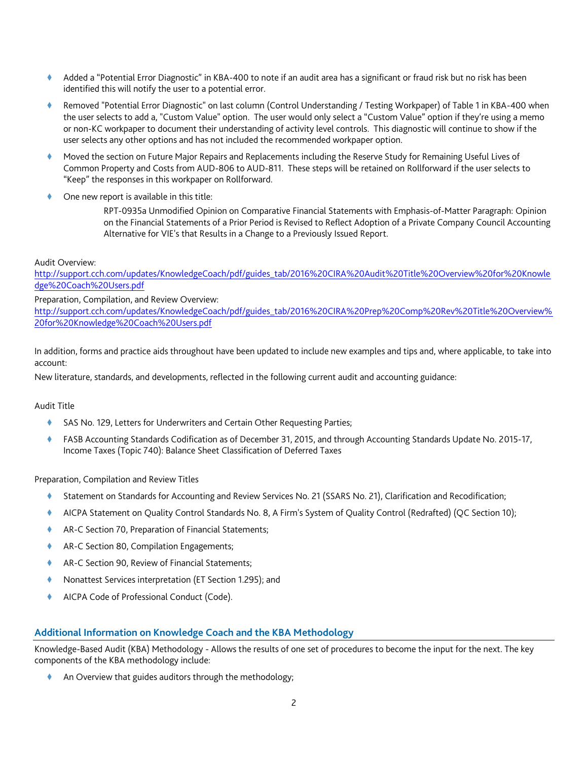- Added a "Potential Error Diagnostic" in KBA-400 to note if an audit area has a significant or fraud risk but no risk has been identified this will notify the user to a potential error.
- Removed "Potential Error Diagnostic" on last column (Control Understanding / Testing Workpaper) of Table 1 in KBA-400 when the user selects to add a, "Custom Value" option. The user would only select a "Custom Value" option if they're using a memo or non-KC workpaper to document their understanding of activity level controls. This diagnostic will continue to show if the user selects any other options and has not included the recommended workpaper option.
- Moved the section on Future Major Repairs and Replacements including the Reserve Study for Remaining Useful Lives of Common Property and Costs from AUD-806 to AUD-811. These steps will be retained on Rollforward if the user selects to "Keep" the responses in this workpaper on Rollforward.
- One new report is available in this title:

RPT-0935a Unmodified Opinion on Comparative Financial Statements with Emphasis-of-Matter Paragraph: Opinion on the Financial Statements of a Prior Period is Revised to Reflect Adoption of a Private Company Council Accounting Alternative for VIE's that Results in a Change to a Previously Issued Report.

#### Audit Overview:

[http://support.cch.com/updates/KnowledgeCoach/pdf/guides\\_tab/2016%20CIRA%20Audit%20Title%20Overview%20for%20Knowle](http://support.cch.com/updates/KnowledgeCoach/pdf/guides_tab/2016%20CIRA%20Audit%20Title%20Overview%20for%20Knowledge%20Coach%20Users.pdf) [dge%20Coach%20Users.pdf](http://support.cch.com/updates/KnowledgeCoach/pdf/guides_tab/2016%20CIRA%20Audit%20Title%20Overview%20for%20Knowledge%20Coach%20Users.pdf)

Preparation, Compilation, and Review Overview:

[http://support.cch.com/updates/KnowledgeCoach/pdf/guides\\_tab/2016%20CIRA%20Prep%20Comp%20Rev%20Title%20Overview%](http://support.cch.com/updates/KnowledgeCoach/pdf/guides_tab/2016%20CIRA%20Prep%20Comp%20Rev%20Title%20Overview%20for%20Knowledge%20Coach%20Users.pdf) [20for%20Knowledge%20Coach%20Users.pdf](http://support.cch.com/updates/KnowledgeCoach/pdf/guides_tab/2016%20CIRA%20Prep%20Comp%20Rev%20Title%20Overview%20for%20Knowledge%20Coach%20Users.pdf)

In addition, forms and practice aids throughout have been updated to include new examples and tips and, where applicable, to take into account:

New literature, standards, and developments, reflected in the following current audit and accounting guidance:

Audit Title

- SAS No. 129, Letters for Underwriters and Certain Other Requesting Parties;
- FASB Accounting Standards Codification as of December 31, 2015, and through Accounting Standards Update No. 2015-17, Income Taxes (Topic 740): Balance Sheet Classification of Deferred Taxes

Preparation, Compilation and Review Titles

- Statement on Standards for Accounting and Review Services No. 21 (SSARS No. 21), Clarification and Recodification;
- AICPA Statement on Quality Control Standards No. 8, A Firm's System of Quality Control (Redrafted) (QC Section 10);
- AR-C Section 70, Preparation of Financial Statements;
- AR-C Section 80, Compilation Engagements;
- AR-C Section 90, Review of Financial Statements;
- Nonattest Services interpretation (ET Section 1.295); and
- AICPA Code of Professional Conduct (Code).

#### **Additional Information on Knowledge Coach and the KBA Methodology**

Knowledge-Based Audit (KBA) Methodology - Allows the results of one set of procedures to become the input for the next. The key components of the KBA methodology include:

An Overview that guides auditors through the methodology;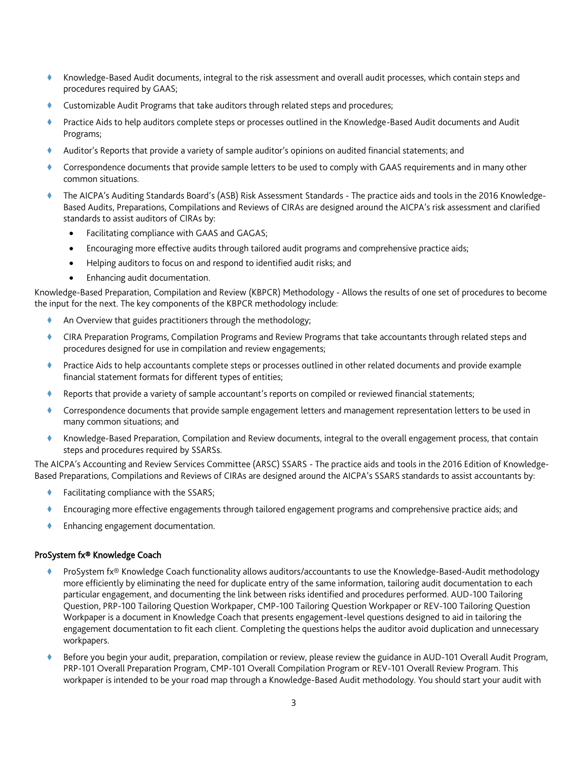- Knowledge-Based Audit documents, integral to the risk assessment and overall audit processes, which contain steps and procedures required by GAAS;
- Customizable Audit Programs that take auditors through related steps and procedures;
- Practice Aids to help auditors complete steps or processes outlined in the Knowledge-Based Audit documents and Audit Programs;
- Auditor's Reports that provide a variety of sample auditor's opinions on audited financial statements; and
- Correspondence documents that provide sample letters to be used to comply with GAAS requirements and in many other common situations.
- The AICPA's Auditing Standards Board's (ASB) Risk Assessment Standards The practice aids and tools in the 2016 Knowledge-Based Audits, Preparations, Compilations and Reviews of CIRAs are designed around the AICPA's risk assessment and clarified standards to assist auditors of CIRAs by:
	- Facilitating compliance with GAAS and GAGAS;
	- Encouraging more effective audits through tailored audit programs and comprehensive practice aids;
	- Helping auditors to focus on and respond to identified audit risks; and
	- Enhancing audit documentation.

Knowledge-Based Preparation, Compilation and Review (KBPCR) Methodology - Allows the results of one set of procedures to become the input for the next. The key components of the KBPCR methodology include:

- An Overview that guides practitioners through the methodology;
- CIRA Preparation Programs, Compilation Programs and Review Programs that take accountants through related steps and procedures designed for use in compilation and review engagements;
- Practice Aids to help accountants complete steps or processes outlined in other related documents and provide example financial statement formats for different types of entities;
- Reports that provide a variety of sample accountant's reports on compiled or reviewed financial statements;
- Correspondence documents that provide sample engagement letters and management representation letters to be used in many common situations; and
- Knowledge-Based Preparation, Compilation and Review documents, integral to the overall engagement process, that contain steps and procedures required by SSARSs.

The AICPA's Accounting and Review Services Committee (ARSC) SSARS - The practice aids and tools in the 2016 Edition of Knowledge-Based Preparations, Compilations and Reviews of CIRAs are designed around the AICPA's SSARS standards to assist accountants by:

- Facilitating compliance with the SSARS;
- Encouraging more effective engagements through tailored engagement programs and comprehensive practice aids; and
- ◆ Enhancing engagement documentation.

### ProSystem fx® Knowledge Coach

- ProSystem fx® Knowledge Coach functionality allows auditors/accountants to use the Knowledge-Based-Audit methodology more efficiently by eliminating the need for duplicate entry of the same information, tailoring audit documentation to each particular engagement, and documenting the link between risks identified and procedures performed. AUD-100 Tailoring Question, PRP-100 Tailoring Question Workpaper, CMP-100 Tailoring Question Workpaper or REV-100 Tailoring Question Workpaper is a document in Knowledge Coach that presents engagement-level questions designed to aid in tailoring the engagement documentation to fit each client. Completing the questions helps the auditor avoid duplication and unnecessary workpapers.
- Before you begin your audit, preparation, compilation or review, please review the guidance in AUD-101 Overall Audit Program, PRP-101 Overall Preparation Program, CMP-101 Overall Compilation Program or REV-101 Overall Review Program. This workpaper is intended to be your road map through a Knowledge-Based Audit methodology. You should start your audit with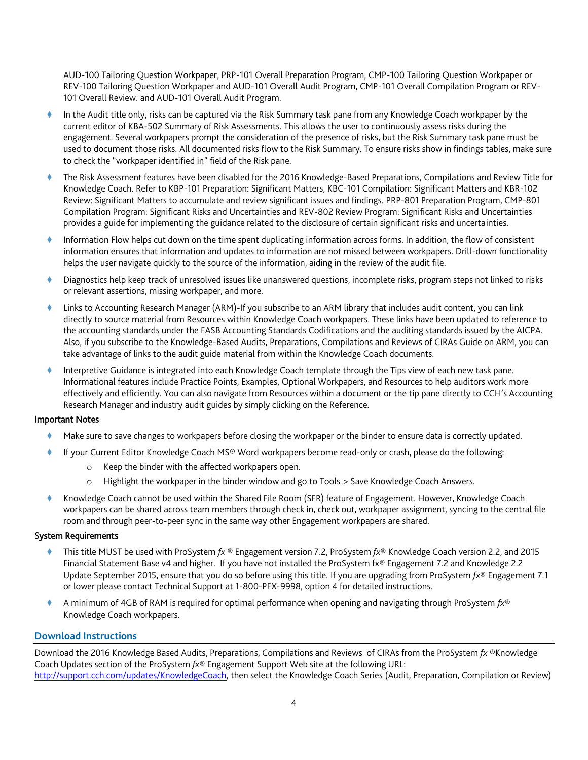AUD-100 Tailoring Question Workpaper, PRP-101 Overall Preparation Program, CMP-100 Tailoring Question Workpaper or REV-100 Tailoring Question Workpaper and AUD-101 Overall Audit Program, CMP-101 Overall Compilation Program or REV-101 Overall Review. and AUD-101 Overall Audit Program.

- In the Audit title only, risks can be captured via the Risk Summary task pane from any Knowledge Coach workpaper by the current editor of KBA-502 Summary of Risk Assessments. This allows the user to continuously assess risks during the engagement. Several workpapers prompt the consideration of the presence of risks, but the Risk Summary task pane must be used to document those risks. All documented risks flow to the Risk Summary. To ensure risks show in findings tables, make sure to check the "workpaper identified in" field of the Risk pane.
- The Risk Assessment features have been disabled for the 2016 Knowledge-Based Preparations, Compilations and Review Title for Knowledge Coach. Refer to KBP-101 Preparation: Significant Matters, KBC-101 Compilation: Significant Matters and KBR-102 Review: Significant Matters to accumulate and review significant issues and findings. PRP-801 Preparation Program, CMP-801 Compilation Program: Significant Risks and Uncertainties and REV-802 Review Program: Significant Risks and Uncertainties provides a guide for implementing the guidance related to the disclosure of certain significant risks and uncertainties.
- Information Flow helps cut down on the time spent duplicating information across forms. In addition, the flow of consistent information ensures that information and updates to information are not missed between workpapers. Drill-down functionality helps the user navigate quickly to the source of the information, aiding in the review of the audit file.
- Diagnostics help keep track of unresolved issues like unanswered questions, incomplete risks, program steps not linked to risks or relevant assertions, missing workpaper, and more.
- Links to Accounting Research Manager (ARM)-If you subscribe to an ARM library that includes audit content, you can link directly to source material from Resources within Knowledge Coach workpapers. These links have been updated to reference to the accounting standards under the FASB Accounting Standards Codifications and the auditing standards issued by the AICPA. Also, if you subscribe to the Knowledge-Based Audits, Preparations, Compilations and Reviews of CIRAs Guide on ARM, you can take advantage of links to the audit guide material from within the Knowledge Coach documents.
- Interpretive Guidance is integrated into each Knowledge Coach template through the Tips view of each new task pane. Informational features include Practice Points, Examples, Optional Workpapers, and Resources to help auditors work more effectively and efficiently. You can also navigate from Resources within a document or the tip pane directly to CCH's Accounting Research Manager and industry audit guides by simply clicking on the Reference.

### Important Notes

- Make sure to save changes to workpapers before closing the workpaper or the binder to ensure data is correctly updated.
- If your Current Editor Knowledge Coach MS® Word workpapers become read-only or crash, please do the following:
	- o Keep the binder with the affected workpapers open.
	- o Highlight the workpaper in the binder window and go to Tools > Save Knowledge Coach Answers.
- Knowledge Coach cannot be used within the Shared File Room (SFR) feature of Engagement. However, Knowledge Coach workpapers can be shared across team members through check in, check out, workpaper assignment, syncing to the central file room and through peer-to-peer sync in the same way other Engagement workpapers are shared.

### System Requirements

- This title MUST be used with ProSystem *fx* ® Engagement version 7.2, ProSystem *fx*® Knowledge Coach version 2.2, and 2015 Financial Statement Base v4 and higher. If you have not installed the ProSystem fx® Engagement 7.2 and Knowledge 2.2 Update September 2015, ensure that you do so before using this title. If you are upgrading from ProSystem *fx*® Engagement 7.1 or lower please contact Technical Support at 1-800-PFX-9998, option 4 for detailed instructions.
- A minimum of 4GB of RAM is required for optimal performance when opening and navigating through ProSystem *fx*® Knowledge Coach workpapers.

# **Download Instructions**

Download the 2016 Knowledge Based Audits, Preparations, Compilations and Reviews of CIRAs from the ProSystem *fx* ®Knowledge Coach Updates section of the ProSystem *fx*® Engagement Support Web site at the following URL: [http://support.cch.com/updates/KnowledgeCoach,](http://support.cch.com/updates/KnowledgeCoach) then select the Knowledge Coach Series (Audit, Preparation, Compilation or Review)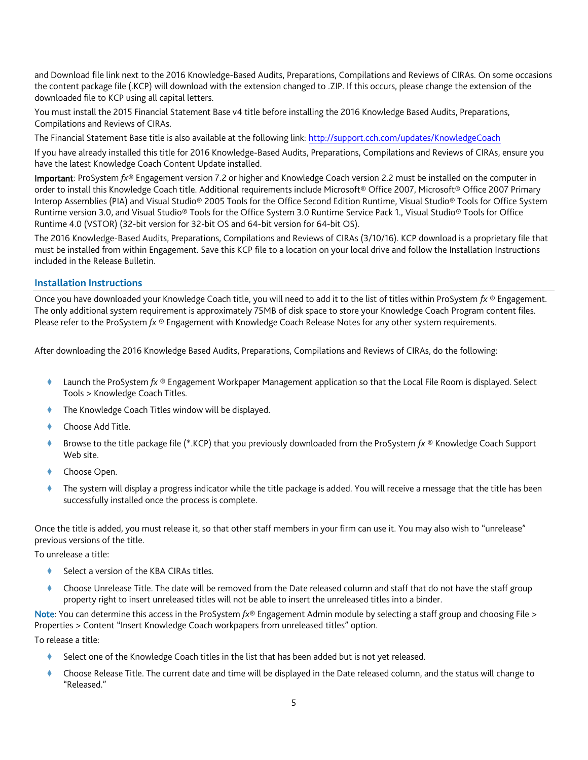and Download file link next to the 2016 Knowledge-Based Audits, Preparations, Compilations and Reviews of CIRAs. On some occasions the content package file (.KCP) will download with the extension changed to .ZIP. If this occurs, please change the extension of the downloaded file to KCP using all capital letters.

You must install the 2015 Financial Statement Base v4 title before installing the 2016 Knowledge Based Audits, Preparations, Compilations and Reviews of CIRAs.

The Financial Statement Base title is also available at the following link:<http://support.cch.com/updates/KnowledgeCoach>

If you have already installed this title for 2016 Knowledge-Based Audits, Preparations, Compilations and Reviews of CIRAs, ensure you have the latest Knowledge Coach Content Update installed.

Important: ProSystem *fx*® Engagement version 7.2 or higher and Knowledge Coach version 2.2 must be installed on the computer in order to install this Knowledge Coach title. Additional requirements include Microsoft® Office 2007, Microsoft® Office 2007 Primary Interop Assemblies (PIA) and Visual Studio® 2005 Tools for the Office Second Edition Runtime, Visual Studio® Tools for Office System Runtime version 3.0, and Visual Studio® Tools for the Office System 3.0 Runtime Service Pack 1., Visual Studio® Tools for Office Runtime 4.0 (VSTOR) (32-bit version for 32-bit OS and 64-bit version for 64-bit OS).

The 2016 Knowledge-Based Audits, Preparations, Compilations and Reviews of CIRAs (3/10/16). KCP download is a proprietary file that must be installed from within Engagement. Save this KCP file to a location on your local drive and follow the Installation Instructions included in the Release Bulletin.

## **Installation Instructions**

Once you have downloaded your Knowledge Coach title, you will need to add it to the list of titles within ProSystem *fx* ® Engagement. The only additional system requirement is approximately 75MB of disk space to store your Knowledge Coach Program content files. Please refer to the ProSystem *fx* ® Engagement with Knowledge Coach Release Notes for any other system requirements.

After downloading the 2016 Knowledge Based Audits, Preparations, Compilations and Reviews of CIRAs, do the following:

- Launch the ProSystem *fx* ® Engagement Workpaper Management application so that the Local File Room is displayed. Select Tools > Knowledge Coach Titles.
- The Knowledge Coach Titles window will be displayed.
- Choose Add Title.
- Browse to the title package file (\*.KCP) that you previously downloaded from the ProSystem *fx* ® Knowledge Coach Support Web site.
- Choose Open.
- The system will display a progress indicator while the title package is added. You will receive a message that the title has been successfully installed once the process is complete.

Once the title is added, you must release it, so that other staff members in your firm can use it. You may also wish to "unrelease" previous versions of the title.

To unrelease a title:

- Select a version of the KBA CIRAs titles.
- Choose Unrelease Title. The date will be removed from the Date released column and staff that do not have the staff group property right to insert unreleased titles will not be able to insert the unreleased titles into a binder.

Note: You can determine this access in the ProSystem *fx*® Engagement Admin module by selecting a staff group and choosing File > Properties > Content "Insert Knowledge Coach workpapers from unreleased titles" option.

To release a title:

- Select one of the Knowledge Coach titles in the list that has been added but is not yet released.
- Choose Release Title. The current date and time will be displayed in the Date released column, and the status will change to "Released."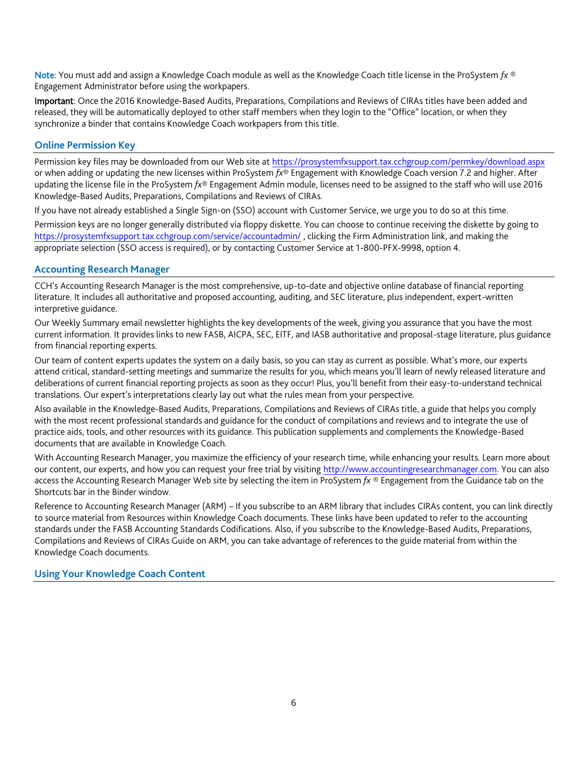Note: You must add and assign a Knowledge Coach module as well as the Knowledge Coach title license in the ProSystem *fx* ® Engagement Administrator before using the workpapers.

Important: Once the 2016 Knowledge-Based Audits, Preparations, Compilations and Reviews of CIRAs titles have been added and released, they will be automatically deployed to other staff members when they login to the "Office" location, or when they synchronize a binder that contains Knowledge Coach workpapers from this title.

# **Online Permission Key**

Permission key files may be downloaded from our Web site a[t https://prosystemfxsupport.tax.cchgroup.com/permkey/download.aspx](https://prosystemfxsupport.tax.cchgroup.com/permkey/download.aspx)  or when adding or updating the new licenses within ProSystem *fx*® Engagement with Knowledge Coach version 7.2 and higher. After updating the license file in the ProSystem *fx*® Engagement Admin module, licenses need to be assigned to the staff who will use 2016 Knowledge-Based Audits, Preparations, Compilations and Reviews of CIRAs.

If you have not already established a Single Sign-on (SSO) account with Customer Service, we urge you to do so at this time.

Permission keys are no longer generally distributed via floppy diskette. You can choose to continue receiving the diskette by going to <https://prosystemfxsupport.tax.cchgroup.com/service/accountadmin/> , clicking the Firm Administration link, and making the appropriate selection (SSO access is required), or by contacting Customer Service at 1-800-PFX-9998, option 4.

## **Accounting Research Manager**

CCH's Accounting Research Manager is the most comprehensive, up-to-date and objective online database of financial reporting literature. It includes all authoritative and proposed accounting, auditing, and SEC literature, plus independent, expert-written interpretive guidance.

Our Weekly Summary email newsletter highlights the key developments of the week, giving you assurance that you have the most current information. It provides links to new FASB, AICPA, SEC, EITF, and IASB authoritative and proposal-stage literature, plus guidance from financial reporting experts.

Our team of content experts updates the system on a daily basis, so you can stay as current as possible. What's more, our experts attend critical, standard-setting meetings and summarize the results for you, which means you'll learn of newly released literature and deliberations of current financial reporting projects as soon as they occur! Plus, you'll benefit from their easy-to-understand technical translations. Our expert's interpretations clearly lay out what the rules mean from your perspective.

Also available in the Knowledge-Based Audits, Preparations, Compilations and Reviews of CIRAs title, a guide that helps you comply with the most recent professional standards and guidance for the conduct of compilations and reviews and to integrate the use of practice aids, tools, and other resources with its guidance. This publication supplements and complements the Knowledge-Based documents that are available in Knowledge Coach.

With Accounting Research Manager, you maximize the efficiency of your research time, while enhancing your results. Learn more about our content, our experts, and how you can request your free trial by visiting [http://www.accountingresearchmanager.com.](http://www.accountingresearchmanager.com/) You can also access the Accounting Research Manager Web site by selecting the item in ProSystem *fx* ® Engagement from the Guidance tab on the Shortcuts bar in the Binder window.

Reference to Accounting Research Manager (ARM) – If you subscribe to an ARM library that includes CIRAs content, you can link directly to source material from Resources within Knowledge Coach documents. These links have been updated to refer to the accounting standards under the FASB Accounting Standards Codifications. Also, if you subscribe to the Knowledge-Based Audits, Preparations, Compilations and Reviews of CIRAs Guide on ARM, you can take advantage of references to the guide material from within the Knowledge Coach documents.

# **Using Your Knowledge Coach Content**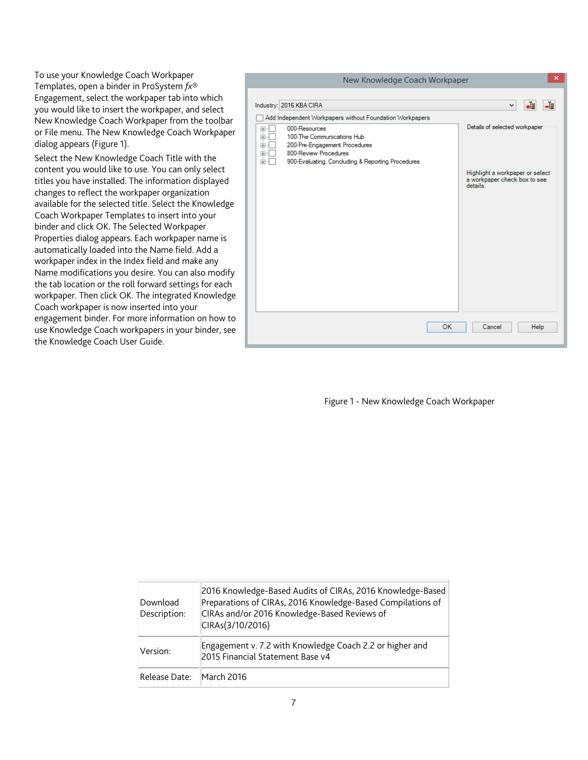To use your Knowledge Coach Workpaper Templates, open a binder in ProSystem *fx*® Engagement, select the workpaper tab into which you would like to insert the workpaper, and select New Knowledge Coach Workpaper from the toolbar or File menu. The New Knowledge Coach Workpaper dialog appears (Figure 1).

Select the New Knowledge Coach Title with the content you would like to use. You can only select titles you have installed. The information displayed changes to reflect the workpaper organization available for the selected title. Select the Knowledge Coach Workpaper Templates to insert into your binder and click OK. The Selected Workpaper Properties dialog appears. Each workpaper name is automatically loaded into the Name field. Add a workpaper index in the Index field and make any Name modifications you desire. You can also modify the tab location or the roll forward settings for each workpaper. Then click OK. The integrated Knowledge Coach workpaper is now inserted into your engagement binder. For more information on how to use Knowledge Coach workpapers in your binder, see the Knowledge Coach User Guide.



Figure 1 - New Knowledge Coach Workpaper

| Download<br>Description: | 2016 Knowledge-Based Audits of CIRAs, 2016 Knowledge-Based<br>Preparations of CIRAs, 2016 Knowledge-Based Compilations of<br>CIRAs and/or 2016 Knowledge-Based Reviews of<br>CIRAs(3/10/2016) |
|--------------------------|-----------------------------------------------------------------------------------------------------------------------------------------------------------------------------------------------|
| Version:                 | Engagement v. 7.2 with Knowledge Coach 2.2 or higher and<br>2015 Financial Statement Base v4                                                                                                  |
| Release Date:            | March 2016                                                                                                                                                                                    |